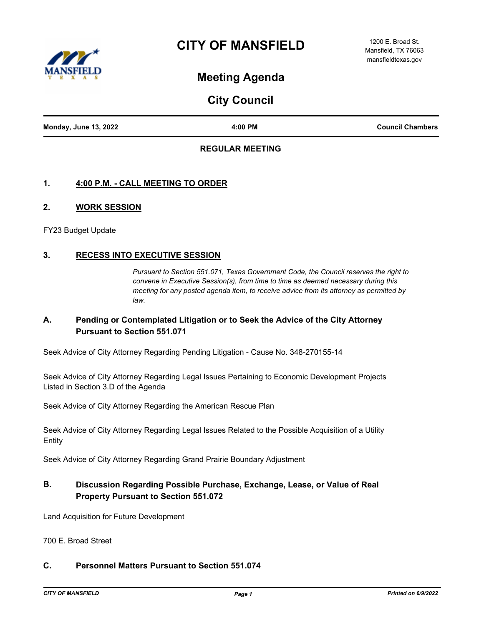# **CITY OF MANSFIELD**



1200 E. Broad St. Mansfield, TX 76063 mansfieldtexas.gov

# **Meeting Agenda**

**City Council**

| <b>Monday, June 13, 2022</b> | 4:00 PM | <b>Council Chambers</b> |
|------------------------------|---------|-------------------------|

## **REGULAR MEETING**

## **1. 4:00 P.M. - CALL MEETING TO ORDER**

#### **2. WORK SESSION**

FY23 Budget Update

## **3. RECESS INTO EXECUTIVE SESSION**

*Pursuant to Section 551.071, Texas Government Code, the Council reserves the right to convene in Executive Session(s), from time to time as deemed necessary during this meeting for any posted agenda item, to receive advice from its attorney as permitted by law.*

## **A. Pending or Contemplated Litigation or to Seek the Advice of the City Attorney Pursuant to Section 551.071**

Seek Advice of City Attorney Regarding Pending Litigation - Cause No. 348-270155-14

Seek Advice of City Attorney Regarding Legal Issues Pertaining to Economic Development Projects Listed in Section 3.D of the Agenda

Seek Advice of City Attorney Regarding the American Rescue Plan

Seek Advice of City Attorney Regarding Legal Issues Related to the Possible Acquisition of a Utility Entity

Seek Advice of City Attorney Regarding Grand Prairie Boundary Adjustment

# **B. Discussion Regarding Possible Purchase, Exchange, Lease, or Value of Real Property Pursuant to Section 551.072**

Land Acquisition for Future Development

700 E. Broad Street

## **C. Personnel Matters Pursuant to Section 551.074**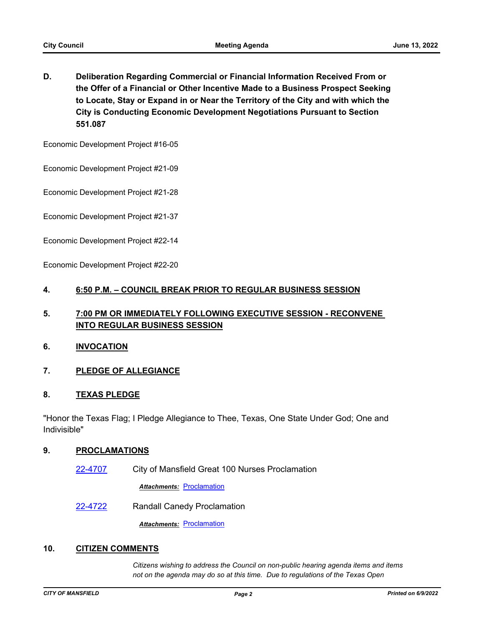**D. Deliberation Regarding Commercial or Financial Information Received From or the Offer of a Financial or Other Incentive Made to a Business Prospect Seeking to Locate, Stay or Expand in or Near the Territory of the City and with which the City is Conducting Economic Development Negotiations Pursuant to Section 551.087**

Economic Development Project #16-05

Economic Development Project #21-09

Economic Development Project #21-28

Economic Development Project #21-37

Economic Development Project #22-14

Economic Development Project #22-20

#### **4. 6:50 P.M. – COUNCIL BREAK PRIOR TO REGULAR BUSINESS SESSION**

# **5. 7:00 PM OR IMMEDIATELY FOLLOWING EXECUTIVE SESSION - RECONVENE INTO REGULAR BUSINESS SESSION**

#### **6. INVOCATION**

## **7. PLEDGE OF ALLEGIANCE**

#### **8. TEXAS PLEDGE**

"Honor the Texas Flag; I Pledge Allegiance to Thee, Texas, One State Under God; One and Indivisible"

#### **9. PROCLAMATIONS**

[22-4707](http://mansfield.legistar.com/gateway.aspx?m=l&id=/matter.aspx?key=8821) City of Mansfield Great 100 Nurses Proclamation

**Attachments: [Proclamation](http://Mansfield.legistar.com/gateway.aspx?M=F&ID=034db11c-e5c2-4dc3-8ccf-e51c31957f74.docx)** 

[22-4722](http://mansfield.legistar.com/gateway.aspx?m=l&id=/matter.aspx?key=8837) Randall Canedy Proclamation

**Attachments: [Proclamation](http://Mansfield.legistar.com/gateway.aspx?M=F&ID=91f76ba8-a2d9-4cf8-abd6-efc1a5ec06c0.docx)** 

#### **10. CITIZEN COMMENTS**

*Citizens wishing to address the Council on non-public hearing agenda items and items not on the agenda may do so at this time. Due to regulations of the Texas Open*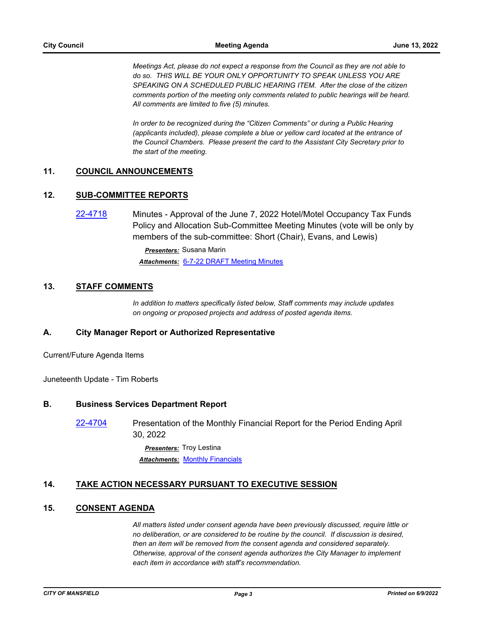*Meetings Act, please do not expect a response from the Council as they are not able to do so. THIS WILL BE YOUR ONLY OPPORTUNITY TO SPEAK UNLESS YOU ARE SPEAKING ON A SCHEDULED PUBLIC HEARING ITEM. After the close of the citizen comments portion of the meeting only comments related to public hearings will be heard. All comments are limited to five (5) minutes.*

*In order to be recognized during the "Citizen Comments" or during a Public Hearing (applicants included), please complete a blue or yellow card located at the entrance of the Council Chambers. Please present the card to the Assistant City Secretary prior to the start of the meeting.*

#### **11. COUNCIL ANNOUNCEMENTS**

### **12. SUB-COMMITTEE REPORTS**

[22-4718](http://mansfield.legistar.com/gateway.aspx?m=l&id=/matter.aspx?key=8833) Minutes - Approval of the June 7, 2022 Hotel/Motel Occupancy Tax Funds Policy and Allocation Sub-Committee Meeting Minutes (vote will be only by members of the sub-committee: Short (Chair), Evans, and Lewis)

> *Presenters:* Susana Marin *Attachments:* [6-7-22 DRAFT Meeting Minutes](http://Mansfield.legistar.com/gateway.aspx?M=F&ID=c7a370b3-6f3d-439c-9f21-62bf4ea66d3c.pdf)

## **13. STAFF COMMENTS**

*In addition to matters specifically listed below, Staff comments may include updates on ongoing or proposed projects and address of posted agenda items.*

#### **A. City Manager Report or Authorized Representative**

Current/Future Agenda Items

Juneteenth Update - Tim Roberts

#### **B. Business Services Department Report**

[22-4704](http://mansfield.legistar.com/gateway.aspx?m=l&id=/matter.aspx?key=8818) Presentation of the Monthly Financial Report for the Period Ending April 30, 2022

> *Presenters:* Troy Lestina **Attachments: [Monthly Financials](http://Mansfield.legistar.com/gateway.aspx?M=F&ID=d994010e-2bb3-45dc-af2e-d0160a6996b1.pdf)**

#### **14. TAKE ACTION NECESSARY PURSUANT TO EXECUTIVE SESSION**

## **15. CONSENT AGENDA**

*All matters listed under consent agenda have been previously discussed, require little or no deliberation, or are considered to be routine by the council. If discussion is desired, then an item will be removed from the consent agenda and considered separately. Otherwise, approval of the consent agenda authorizes the City Manager to implement each item in accordance with staff's recommendation.*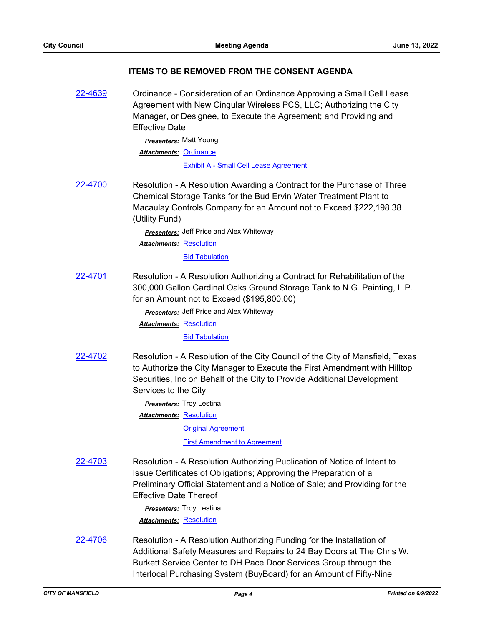### **ITEMS TO BE REMOVED FROM THE CONSENT AGENDA**

[22-4639](http://mansfield.legistar.com/gateway.aspx?m=l&id=/matter.aspx?key=8752) Ordinance - Consideration of an Ordinance Approving a Small Cell Lease Agreement with New Cingular Wireless PCS, LLC; Authorizing the City Manager, or Designee, to Execute the Agreement; and Providing and Effective Date *Presenters:* Matt Young Attachments: [Ordinance](http://Mansfield.legistar.com/gateway.aspx?M=F&ID=4407569b-1722-4113-ba18-5f99e8bfff32.docx) [Exhibit A - Small Cell Lease Agreement](http://Mansfield.legistar.com/gateway.aspx?M=F&ID=bfd17b2d-d494-4209-8dcd-a241a26bd291.pdf) [22-4700](http://mansfield.legistar.com/gateway.aspx?m=l&id=/matter.aspx?key=8814) Resolution - A Resolution Awarding a Contract for the Purchase of Three Chemical Storage Tanks for the Bud Ervin Water Treatment Plant to Macaulay Controls Company for an Amount not to Exceed \$222,198.38 (Utility Fund) *Presenters:* Jeff Price and Alex Whiteway Attachments: [Resolution](http://Mansfield.legistar.com/gateway.aspx?M=F&ID=6d677432-ce40-4b81-935e-4d02adcd5ae6.doc) **[Bid Tabulation](http://Mansfield.legistar.com/gateway.aspx?M=F&ID=054b0e66-b6e5-47e8-8533-c3669bdfa28f.pdf)** [22-4701](http://mansfield.legistar.com/gateway.aspx?m=l&id=/matter.aspx?key=8815) Resolution - A Resolution Authorizing a Contract for Rehabilitation of the 300,000 Gallon Cardinal Oaks Ground Storage Tank to N.G. Painting, L.P. for an Amount not to Exceed (\$195,800.00) *Presenters:* Jeff Price and Alex Whiteway Attachments: [Resolution](http://Mansfield.legistar.com/gateway.aspx?M=F&ID=4410d5e6-7530-4abb-bf2b-5e767ca5f25d.doc) [Bid Tabulation](http://Mansfield.legistar.com/gateway.aspx?M=F&ID=e348e10c-d02d-47ac-902e-d60fd0372c5f.pdf) [22-4702](http://mansfield.legistar.com/gateway.aspx?m=l&id=/matter.aspx?key=8816) Resolution - A Resolution of the City Council of the City of Mansfield, Texas to Authorize the City Manager to Execute the First Amendment with Hilltop Securities, Inc on Behalf of the City to Provide Additional Development Services to the City *Presenters:* Troy Lestina Attachments: [Resolution](http://Mansfield.legistar.com/gateway.aspx?M=F&ID=ab77504d-27b1-419e-83d2-a681347df5a1.docx) **[Original Agreement](http://Mansfield.legistar.com/gateway.aspx?M=F&ID=ce2e7b92-24c3-4903-b735-941f60419aad.pdf)** [First Amendment to Agreement](http://Mansfield.legistar.com/gateway.aspx?M=F&ID=1fdbded9-c2f8-4274-94c7-dd8a2eb116ef.pdf) [22-4703](http://mansfield.legistar.com/gateway.aspx?m=l&id=/matter.aspx?key=8817) Resolution - A Resolution Authorizing Publication of Notice of Intent to Issue Certificates of Obligations; Approving the Preparation of a Preliminary Official Statement and a Notice of Sale; and Providing for the Effective Date Thereof *Presenters:* Troy Lestina *Attachments:* [Resolution](http://Mansfield.legistar.com/gateway.aspx?M=F&ID=bdf041cd-ac33-4bb4-9d9a-945b141ced44.docx) [22-4706](http://mansfield.legistar.com/gateway.aspx?m=l&id=/matter.aspx?key=8820) Resolution - A Resolution Authorizing Funding for the Installation of Additional Safety Measures and Repairs to 24 Bay Doors at The Chris W. Burkett Service Center to DH Pace Door Services Group through the

Interlocal Purchasing System (BuyBoard) for an Amount of Fifty-Nine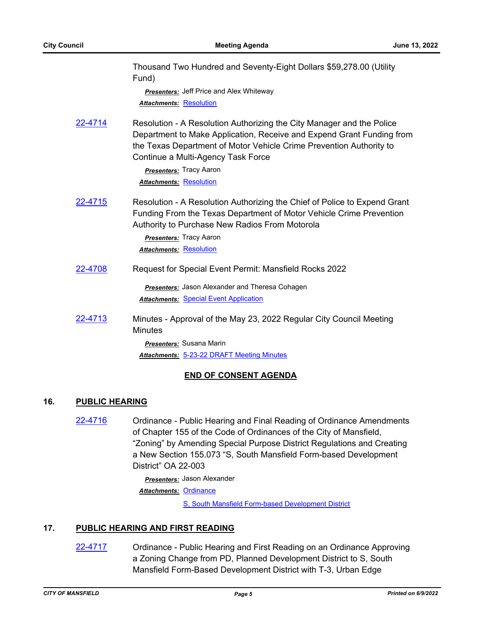|         | Thousand Two Hundred and Seventy-Eight Dollars \$59,278.00 (Utility<br>Fund)                                                                                                                                                                                |
|---------|-------------------------------------------------------------------------------------------------------------------------------------------------------------------------------------------------------------------------------------------------------------|
|         | <b>Presenters:</b> Jeff Price and Alex Whiteway                                                                                                                                                                                                             |
|         | <b>Attachments: Resolution</b>                                                                                                                                                                                                                              |
| 22-4714 | Resolution - A Resolution Authorizing the City Manager and the Police<br>Department to Make Application, Receive and Expend Grant Funding from<br>the Texas Department of Motor Vehicle Crime Prevention Authority to<br>Continue a Multi-Agency Task Force |
|         | <b>Presenters:</b> Tracy Aaron                                                                                                                                                                                                                              |
|         | <b>Attachments: Resolution</b>                                                                                                                                                                                                                              |
| 22-4715 | Resolution - A Resolution Authorizing the Chief of Police to Expend Grant<br>Funding From the Texas Department of Motor Vehicle Crime Prevention<br>Authority to Purchase New Radios From Motorola                                                          |
|         | <b>Presenters: Tracy Aaron</b>                                                                                                                                                                                                                              |
|         | <b>Attachments: Resolution</b>                                                                                                                                                                                                                              |
| 22-4708 | Request for Special Event Permit: Mansfield Rocks 2022                                                                                                                                                                                                      |
|         | Presenters: Jason Alexander and Theresa Cohagen                                                                                                                                                                                                             |
|         | <b>Attachments: Special Event Application</b>                                                                                                                                                                                                               |
| 22-4713 | Minutes - Approval of the May 23, 2022 Regular City Council Meeting<br><b>Minutes</b>                                                                                                                                                                       |
|         | Presenters: Susana Marin                                                                                                                                                                                                                                    |
|         | Attachments: 5-23-22 DRAFT Meeting Minutes                                                                                                                                                                                                                  |

## **END OF CONSENT AGENDA**

## **16. PUBLIC HEARING**

[22-4716](http://mansfield.legistar.com/gateway.aspx?m=l&id=/matter.aspx?key=8831) Ordinance - Public Hearing and Final Reading of Ordinance Amendments of Chapter 155 of the Code of Ordinances of the City of Mansfield, "Zoning" by Amending Special Purpose District Regulations and Creating a New Section 155.073 "S, South Mansfield Form-based Development District" OA 22-003

> *Presenters:* Jason Alexander Attachments: [Ordinance](http://Mansfield.legistar.com/gateway.aspx?M=F&ID=cd17b56c-48d3-4036-8241-2e6b92444596.docx)

> > [S, South Mansfield Form-based Development District](http://Mansfield.legistar.com/gateway.aspx?M=F&ID=c4570783-2a49-4a3c-9d89-7b6caf65aca9.pdf)

## **17. PUBLIC HEARING AND FIRST READING**

[22-4717](http://mansfield.legistar.com/gateway.aspx?m=l&id=/matter.aspx?key=8832) Ordinance - Public Hearing and First Reading on an Ordinance Approving a Zoning Change from PD, Planned Development District to S, South Mansfield Form-Based Development District with T-3, Urban Edge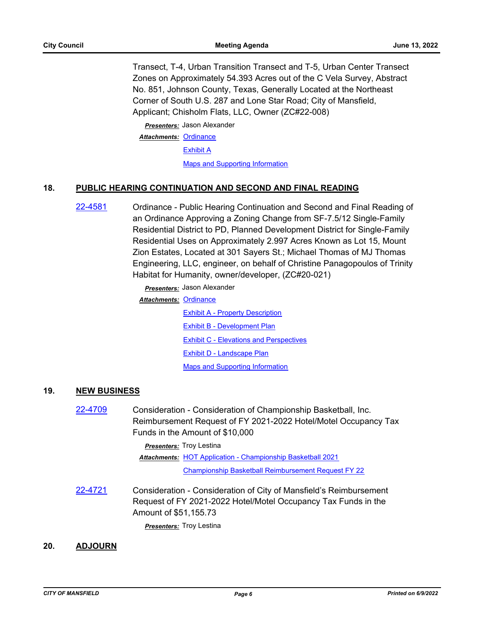Transect, T-4, Urban Transition Transect and T-5, Urban Center Transect Zones on Approximately 54.393 Acres out of the C Vela Survey, Abstract No. 851, Johnson County, Texas, Generally Located at the Northeast Corner of South U.S. 287 and Lone Star Road; City of Mansfield, Applicant; Chisholm Flats, LLC, Owner (ZC#22-008)

*Presenters:* Jason Alexander Attachments: [Ordinance](http://Mansfield.legistar.com/gateway.aspx?M=F&ID=e42bce29-40cf-4f37-873c-93f88a618425.docx)

[Exhibit A](http://Mansfield.legistar.com/gateway.aspx?M=F&ID=3dbc87d7-c3d2-4868-9b35-6cc513cfc022.pdf)

[Maps and Supporting Information](http://Mansfield.legistar.com/gateway.aspx?M=F&ID=1707d764-a91b-434e-9e75-4f3bfc08303c.pdf)

#### **18. PUBLIC HEARING CONTINUATION AND SECOND AND FINAL READING**

[22-4581](http://mansfield.legistar.com/gateway.aspx?m=l&id=/matter.aspx?key=8694) Ordinance - Public Hearing Continuation and Second and Final Reading of an Ordinance Approving a Zoning Change from SF-7.5/12 Single-Family Residential District to PD, Planned Development District for Single-Family Residential Uses on Approximately 2.997 Acres Known as Lot 15, Mount Zion Estates, Located at 301 Sayers St.; Michael Thomas of MJ Thomas Engineering, LLC, engineer, on behalf of Christine Panagopoulos of Trinity Habitat for Humanity, owner/developer, (ZC#20-021)

> *Presenters:* Jason Alexander Attachments: [Ordinance](http://Mansfield.legistar.com/gateway.aspx?M=F&ID=d79c979a-a127-4d78-b042-5b1f8e7e38a7.docx) [Exhibit A - Property Description](http://Mansfield.legistar.com/gateway.aspx?M=F&ID=5cf2685c-d263-4d23-83c9-81d54c22d97c.pdf) [Exhibit B - Development Plan](http://Mansfield.legistar.com/gateway.aspx?M=F&ID=80d67fd0-5c2a-4240-9782-dec891d0123c.pdf) **[Exhibit C - Elevations and Perspectives](http://Mansfield.legistar.com/gateway.aspx?M=F&ID=ff5c4d78-cb2a-41d2-8bec-8564b6770f0e.pdf)** [Exhibit D - Landscape Plan](http://Mansfield.legistar.com/gateway.aspx?M=F&ID=075889e3-e544-496e-920e-183dd8bfd845.pdf) [Maps and Supporting Information](http://Mansfield.legistar.com/gateway.aspx?M=F&ID=01b3010b-a96f-42a4-bd9e-6e7d30d832e7.pdf)

#### **19. NEW BUSINESS**

[22-4709](http://mansfield.legistar.com/gateway.aspx?m=l&id=/matter.aspx?key=8823) Consideration - Consideration of Championship Basketball, Inc. Reimbursement Request of FY 2021-2022 Hotel/Motel Occupancy Tax Funds in the Amount of \$10,000

> *Presenters:* Troy Lestina Attachments: [HOT Application - Championship Basketball 2021](http://Mansfield.legistar.com/gateway.aspx?M=F&ID=5a1a1031-636e-44af-99ef-bc0fd35575b2.pdf) [Championship Basketball Reimbursement Request FY 22](http://Mansfield.legistar.com/gateway.aspx?M=F&ID=3493983b-31c7-4149-b639-22a2a0955776.pdf)

[22-4721](http://mansfield.legistar.com/gateway.aspx?m=l&id=/matter.aspx?key=8836) Consideration - Consideration of City of Mansfield's Reimbursement Request of FY 2021-2022 Hotel/Motel Occupancy Tax Funds in the Amount of \$51,155.73

*Presenters:* Troy Lestina

### **20. ADJOURN**